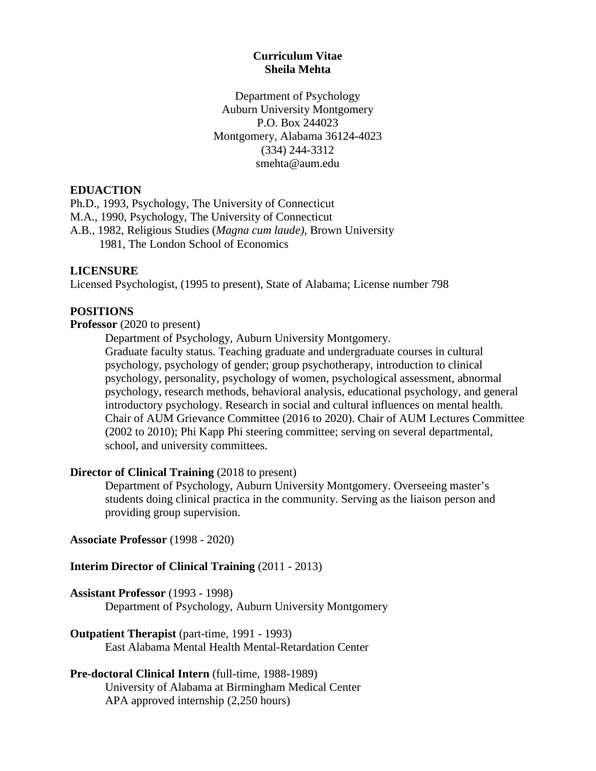# **Curriculum Vitae Sheila Mehta**

Department of Psychology Auburn University Montgomery P.O. Box 244023 Montgomery, Alabama 36124-4023 (334) 244-3312 smehta@aum.edu

# **EDUACTION**

Ph.D., 1993, Psychology, The University of Connecticut M.A., 1990, Psychology, The University of Connecticut A.B., 1982, Religious Studies (*Magna cum laude),* Brown University 1981, The London School of Economics

# **LICENSURE**

Licensed Psychologist, (1995 to present), State of Alabama; License number 798

#### **POSITIONS**

#### **Professor** (2020 to present)

Department of Psychology, Auburn University Montgomery.

Graduate faculty status. Teaching graduate and undergraduate courses in cultural psychology, psychology of gender; group psychotherapy, introduction to clinical psychology, personality, psychology of women, psychological assessment, abnormal psychology, research methods, behavioral analysis, educational psychology, and general introductory psychology. Research in social and cultural influences on mental health. Chair of AUM Grievance Committee (2016 to 2020). Chair of AUM Lectures Committee (2002 to 2010); Phi Kapp Phi steering committee; serving on several departmental, school, and university committees.

#### **Director of Clinical Training** (2018 to present)

Department of Psychology, Auburn University Montgomery. Overseeing master's students doing clinical practica in the community. Serving as the liaison person and providing group supervision.

#### **Associate Professor** (1998 - 2020)

#### **Interim Director of Clinical Training** (2011 - 2013)

#### **Assistant Professor** (1993 - 1998)

Department of Psychology, Auburn University Montgomery

# **Outpatient Therapist** (part-time, 1991 - 1993) East Alabama Mental Health Mental-Retardation Center

# **Pre-doctoral Clinical Intern** (full-time, 1988-1989)

University of Alabama at Birmingham Medical Center APA approved internship (2,250 hours)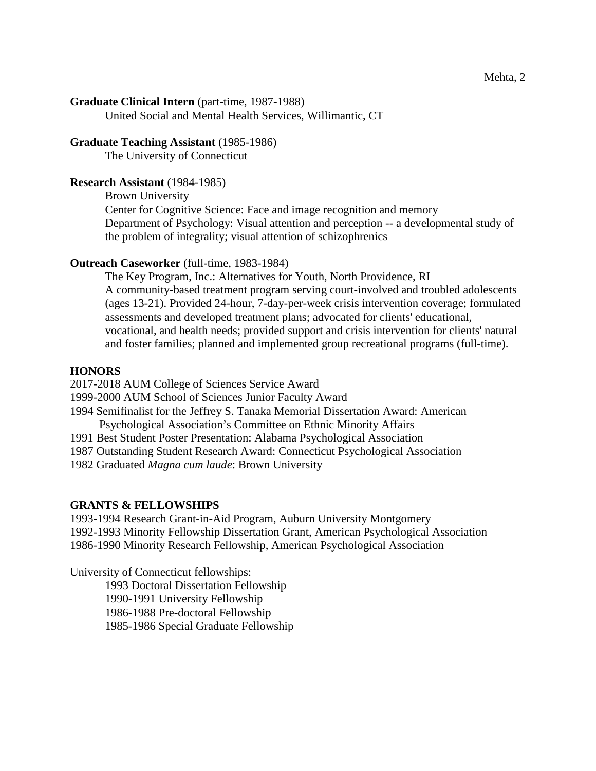**Graduate Clinical Intern** (part-time, 1987-1988)

United Social and Mental Health Services, Willimantic, CT

# **Graduate Teaching Assistant** (1985-1986)

The University of Connecticut

#### **Research Assistant** (1984-1985)

Brown University

Center for Cognitive Science: Face and image recognition and memory Department of Psychology: Visual attention and perception -- a developmental study of the problem of integrality; visual attention of schizophrenics

#### **Outreach Caseworker** (full-time, 1983-1984)

The Key Program, Inc.: Alternatives for Youth, North Providence, RI A community-based treatment program serving court-involved and troubled adolescents (ages 13-21). Provided 24-hour, 7-day-per-week crisis intervention coverage; formulated assessments and developed treatment plans; advocated for clients' educational, vocational, and health needs; provided support and crisis intervention for clients' natural and foster families; planned and implemented group recreational programs (full-time).

#### **HONORS**

2017-2018 AUM College of Sciences Service Award

- 1999-2000 AUM School of Sciences Junior Faculty Award
- 1994 Semifinalist for the Jeffrey S. Tanaka Memorial Dissertation Award: American Psychological Association's Committee on Ethnic Minority Affairs
- 1991 Best Student Poster Presentation: Alabama Psychological Association
- 1987 Outstanding Student Research Award: Connecticut Psychological Association
- 1982 Graduated *Magna cum laude*: Brown University

# **GRANTS & FELLOWSHIPS**

1993-1994 Research Grant-in-Aid Program, Auburn University Montgomery 1992-1993 Minority Fellowship Dissertation Grant, American Psychological Association 1986-1990 Minority Research Fellowship, American Psychological Association

University of Connecticut fellowships:

1993 Doctoral Dissertation Fellowship

1990-1991 University Fellowship

1986-1988 Pre-doctoral Fellowship

1985-1986 Special Graduate Fellowship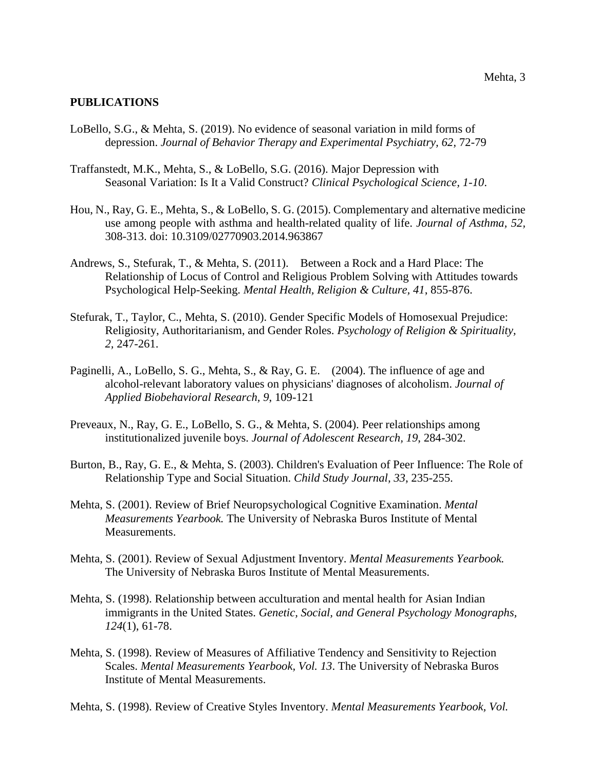#### **PUBLICATIONS**

- LoBello, S.G., & Mehta, S. (2019). No evidence of seasonal variation in mild forms of depression. *Journal of Behavior Therapy and Experimental Psychiatry, 62,* 72-79
- Traffanstedt, M.K., Mehta, S., & LoBello, S.G. (2016). Major Depression with Seasonal Variation: Is It a Valid Construct? *Clinical Psychological Science, 1-10*.
- Hou, N., Ray, G. E., Mehta, S., & LoBello, S. G. (2015). Complementary and alternative medicine use among people with asthma and health-related quality of life. *Journal of Asthma, 52,*  308-313. doi: 10.3109/02770903.2014.963867
- Andrews, S., Stefurak, T., & Mehta, S. (2011). Between a Rock and a Hard Place: The Relationship of Locus of Control and Religious Problem Solving with Attitudes towards Psychological Help-Seeking. *Mental Health, Religion & Culture, 41*, 855-876.
- Stefurak, T., Taylor, C., Mehta, S. (2010). Gender Specific Models of Homosexual Prejudice: Religiosity, Authoritarianism, and Gender Roles. *Psychology of Religion & Spirituality, 2,* 247-261.
- Paginelli, A., LoBello, S. G., Mehta, S., & Ray, G. E. (2004). The influence of age and alcohol-relevant laboratory values on physicians' diagnoses of alcoholism. *Journal of Applied Biobehavioral Research, 9*, 109-121
- Preveaux, N., Ray, G. E., LoBello, S. G., & Mehta, S. (2004). Peer relationships among institutionalized juvenile boys. *Journal of Adolescent Research, 19*, 284-302.
- Burton, B., Ray, G. E., & Mehta, S. (2003). Children's Evaluation of Peer Influence: The Role of Relationship Type and Social Situation. *Child Study Journal, 33*, 235-255.
- Mehta, S. (2001). Review of Brief Neuropsychological Cognitive Examination. *Mental Measurements Yearbook.* The University of Nebraska Buros Institute of Mental Measurements.
- Mehta, S. (2001). Review of Sexual Adjustment Inventory. *Mental Measurements Yearbook.*  The University of Nebraska Buros Institute of Mental Measurements.
- Mehta, S. (1998). Relationship between acculturation and mental health for Asian Indian immigrants in the United States. *Genetic, Social, and General Psychology Monographs, 124*(1), 61-78.
- Mehta, S. (1998). Review of Measures of Affiliative Tendency and Sensitivity to Rejection Scales. *Mental Measurements Yearbook, Vol. 13*. The University of Nebraska Buros Institute of Mental Measurements.
- Mehta, S. (1998). Review of Creative Styles Inventory. *Mental Measurements Yearbook, Vol.*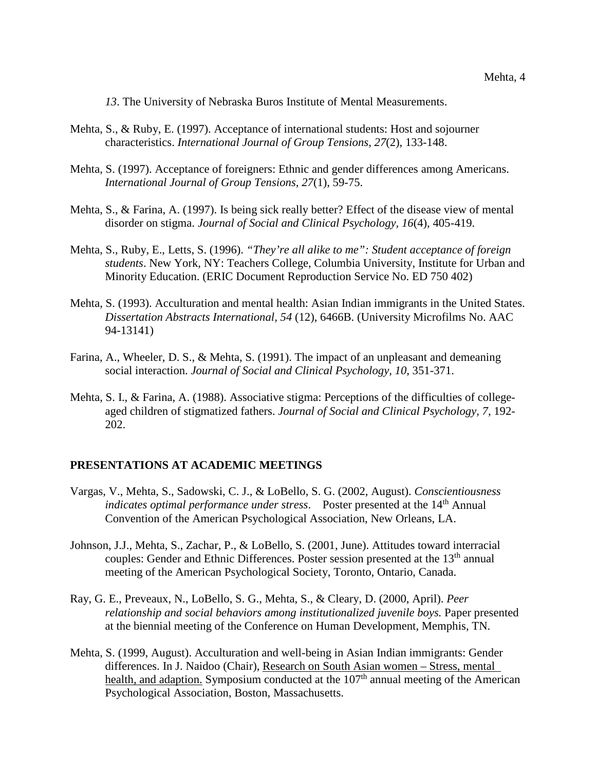*13*. The University of Nebraska Buros Institute of Mental Measurements.

- Mehta, S., & Ruby, E. (1997). Acceptance of international students: Host and sojourner characteristics. *International Journal of Group Tensions, 27*(2), 133-148.
- Mehta, S. (1997). Acceptance of foreigners: Ethnic and gender differences among Americans. *International Journal of Group Tensions, 27*(1), 59-75.
- Mehta, S., & Farina, A. (1997). Is being sick really better? Effect of the disease view of mental disorder on stigma. *Journal of Social and Clinical Psychology, 16*(4), 405-419.
- Mehta, S., Ruby, E., Letts, S. (1996). *"They're all alike to me": Student acceptance of foreign students*. New York, NY: Teachers College, Columbia University, Institute for Urban and Minority Education. (ERIC Document Reproduction Service No. ED 750 402)
- Mehta, S. (1993). Acculturation and mental health: Asian Indian immigrants in the United States. *Dissertation Abstracts International, 54* (12), 6466B. (University Microfilms No. AAC 94-13141)
- Farina, A., Wheeler, D. S., & Mehta, S. (1991). The impact of an unpleasant and demeaning social interaction. *Journal of Social and Clinical Psychology, 10,* 351-371.
- Mehta, S. I., & Farina, A. (1988). Associative stigma: Perceptions of the difficulties of collegeaged children of stigmatized fathers. *Journal of Social and Clinical Psychology, 7*, 192- 202.

#### **PRESENTATIONS AT ACADEMIC MEETINGS**

- Vargas, V., Mehta, S., Sadowski, C. J., & LoBello, S. G. (2002, August). *Conscientiousness indicates optimal performance under stress.* Poster presented at the 14<sup>th</sup> Annual Convention of the American Psychological Association, New Orleans, LA.
- Johnson, J.J., Mehta, S., Zachar, P., & LoBello, S. (2001, June). Attitudes toward interracial couples: Gender and Ethnic Differences. Poster session presented at the 13<sup>th</sup> annual meeting of the American Psychological Society, Toronto, Ontario, Canada.
- Ray, G. E., Preveaux, N., LoBello, S. G., Mehta, S., & Cleary, D. (2000, April). *Peer relationship and social behaviors among institutionalized juvenile boys.* Paper presented at the biennial meeting of the Conference on Human Development, Memphis, TN.
- Mehta, S. (1999, August). Acculturation and well-being in Asian Indian immigrants: Gender differences. In J. Naidoo (Chair), Research on South Asian women – Stress, mental health, and adaption. Symposium conducted at the  $107<sup>th</sup>$  annual meeting of the American Psychological Association, Boston, Massachusetts.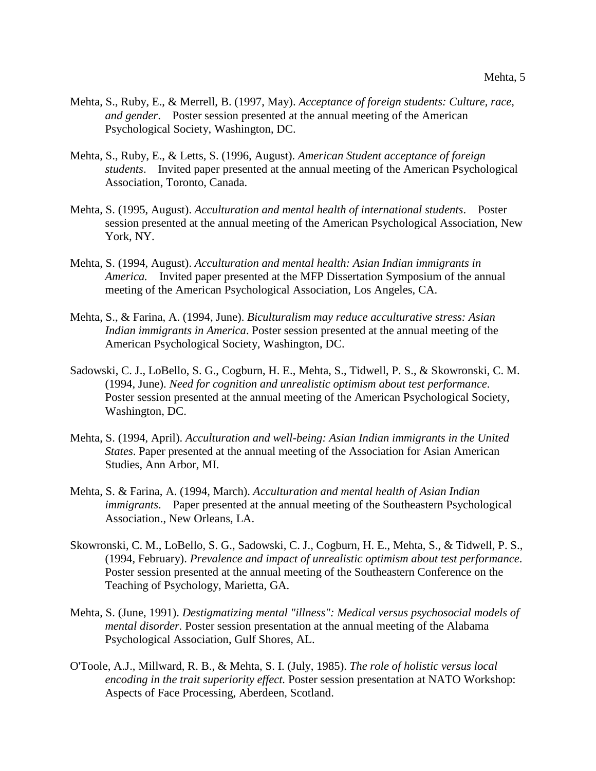- Mehta, S., Ruby, E., & Merrell, B. (1997, May). *Acceptance of foreign students: Culture, race, and gender*. Poster session presented at the annual meeting of the American Psychological Society, Washington, DC.
- Mehta, S., Ruby, E., & Letts, S. (1996, August). *American Student acceptance of foreign students*. Invited paper presented at the annual meeting of the American Psychological Association, Toronto, Canada.
- Mehta, S. (1995, August). *Acculturation and mental health of international students*. Poster session presented at the annual meeting of the American Psychological Association, New York, NY.
- Mehta, S. (1994, August). *Acculturation and mental health: Asian Indian immigrants in America.* Invited paper presented at the MFP Dissertation Symposium of the annual meeting of the American Psychological Association, Los Angeles, CA.
- Mehta, S., & Farina, A. (1994, June). *Biculturalism may reduce acculturative stress: Asian Indian immigrants in America*. Poster session presented at the annual meeting of the American Psychological Society, Washington, DC.
- Sadowski, C. J., LoBello, S. G., Cogburn, H. E., Mehta, S., Tidwell, P. S., & Skowronski, C. M. (1994, June). *Need for cognition and unrealistic optimism about test performance*. Poster session presented at the annual meeting of the American Psychological Society, Washington, DC.
- Mehta, S. (1994, April). *Acculturation and well-being: Asian Indian immigrants in the United States*. Paper presented at the annual meeting of the Association for Asian American Studies, Ann Arbor, MI.
- Mehta, S. & Farina, A. (1994, March). *Acculturation and mental health of Asian Indian immigrants*. Paper presented at the annual meeting of the Southeastern Psychological Association., New Orleans, LA.
- Skowronski, C. M., LoBello, S. G., Sadowski, C. J., Cogburn, H. E., Mehta, S., & Tidwell, P. S., (1994, February). *Prevalence and impact of unrealistic optimism about test performance*. Poster session presented at the annual meeting of the Southeastern Conference on the Teaching of Psychology, Marietta, GA.
- Mehta, S. (June, 1991). *Destigmatizing mental "illness": Medical versus psychosocial models of mental disorder.* Poster session presentation at the annual meeting of the Alabama Psychological Association, Gulf Shores, AL.
- O'Toole, A.J., Millward, R. B., & Mehta, S. I. (July, 1985). *The role of holistic versus local encoding in the trait superiority effect.* Poster session presentation at NATO Workshop: Aspects of Face Processing, Aberdeen, Scotland.